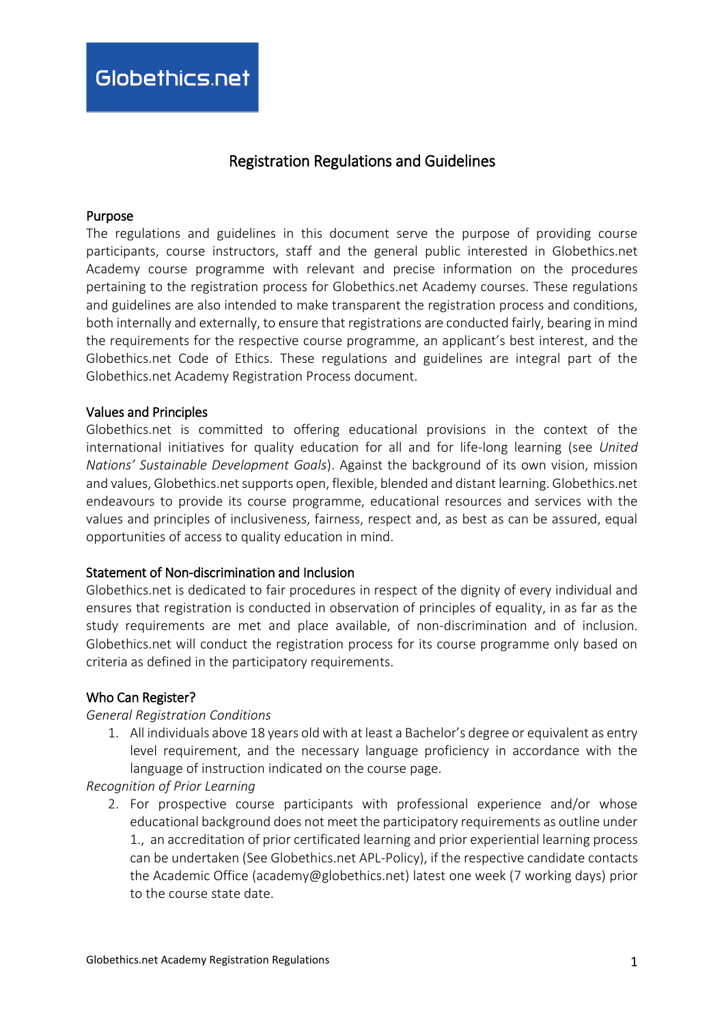# Registration Regulations and Guidelines

#### Purpose

The regulations and guidelines in this document serve the purpose of providing course participants, course instructors, staff and the general public interested in Globethics.net Academy course programme with relevant and precise information on the procedures pertaining to the registration process for Globethics.net Academy courses. These regulations and guidelines are also intended to make transparent the registration process and conditions, both internally and externally, to ensure that registrations are conducted fairly, bearing in mind the requirements for the respective course programme, an applicant's best interest, and the Globethics.net Code of Ethics. These regulations and guidelines are integral part of the Globethics.net Academy Registration Process document.

#### Values and Principles

Globethics.net is committed to offering educational provisions in the context of the international initiatives for quality education for all and for life-long learning (see *United Nations' Sustainable Development Goals*). Against the background of its own vision, mission and values, Globethics.net supports open, flexible, blended and distant learning. Globethics.net endeavours to provide its course programme, educational resources and services with the values and principles of inclusiveness, fairness, respect and, as best as can be assured, equal opportunities of access to quality education in mind.

#### Statement of Non-discrimination and Inclusion

Globethics.net is dedicated to fair procedures in respect of the dignity of every individual and ensures that registration is conducted in observation of principles of equality, in as far as the study requirements are met and place available, of non-discrimination and of inclusion. Globethics.net will conduct the registration process for its course programme only based on criteria as defined in the participatory requirements.

#### Who Can Register?

#### *General Registration Conditions*

1. All individuals above 18 years old with at least a Bachelor's degree or equivalent as entry level requirement, and the necessary language proficiency in accordance with the language of instruction indicated on the course page.

*Recognition of Prior Learning*

2. For prospective course participants with professional experience and/or whose educational background does not meet the participatory requirements as outline under 1., an accreditation of prior certificated learning and prior experiential learning process can be undertaken (See Globethics.net APL-Policy), if the respective candidate contacts the Academic Office (academy@globethics.net) latest one week (7 working days) prior to the course state date.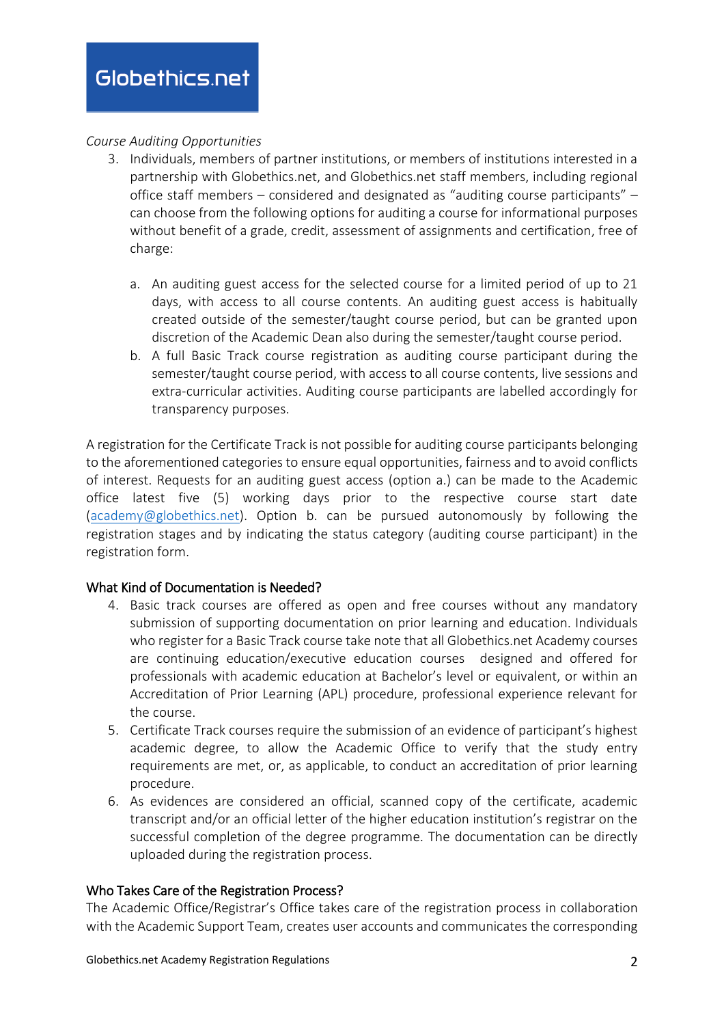### *Course Auditing Opportunities*

- 3. Individuals, members of partner institutions, or members of institutions interested in a partnership with Globethics.net, and Globethics.net staff members, including regional office staff members – considered and designated as "auditing course participants" – can choose from the following options for auditing a course for informational purposes without benefit of a grade, credit, assessment of assignments and certification, free of charge:
	- a. An auditing guest access for the selected course for a limited period of up to 21 days, with access to all course contents. An auditing guest access is habitually created outside of the semester/taught course period, but can be granted upon discretion of the Academic Dean also during the semester/taught course period.
	- b. A full Basic Track course registration as auditing course participant during the semester/taught course period, with access to all course contents, live sessions and extra-curricular activities. Auditing course participants are labelled accordingly for transparency purposes.

A registration for the Certificate Track is not possible for auditing course participants belonging to the aforementioned categories to ensure equal opportunities, fairness and to avoid conflicts of interest. Requests for an auditing guest access (option a.) can be made to the Academic office latest five (5) working days prior to the respective course start date [\(academy@globethics.net\)](mailto:academy@globethics.net). Option b. can be pursued autonomously by following the registration stages and by indicating the status category (auditing course participant) in the registration form.

## What Kind of Documentation is Needed?

- 4. Basic track courses are offered as open and free courses without any mandatory submission of supporting documentation on prior learning and education. Individuals who register for a Basic Track course take note that all Globethics.net Academy courses are continuing education/executive education courses designed and offered for professionals with academic education at Bachelor's level or equivalent, or within an Accreditation of Prior Learning (APL) procedure, professional experience relevant for the course.
- 5. Certificate Track courses require the submission of an evidence of participant's highest academic degree, to allow the Academic Office to verify that the study entry requirements are met, or, as applicable, to conduct an accreditation of prior learning procedure.
- 6. As evidences are considered an official, scanned copy of the certificate, academic transcript and/or an official letter of the higher education institution's registrar on the successful completion of the degree programme. The documentation can be directly uploaded during the registration process.

#### Who Takes Care of the Registration Process?

The Academic Office/Registrar's Office takes care of the registration process in collaboration with the Academic Support Team, creates user accounts and communicates the corresponding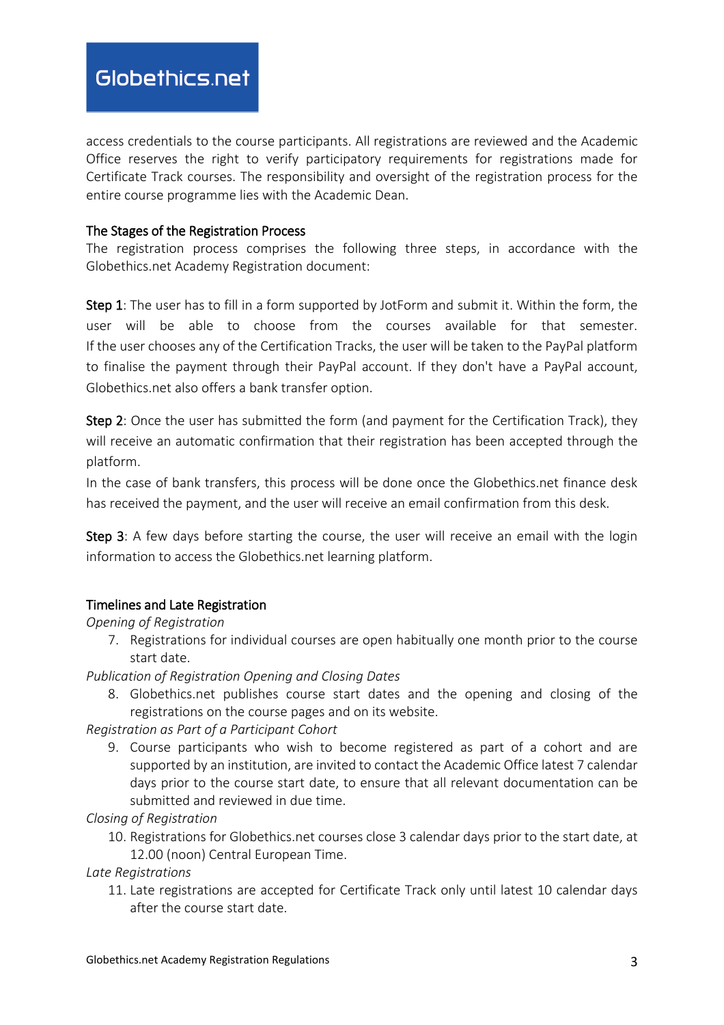access credentials to the course participants. All registrations are reviewed and the Academic Office reserves the right to verify participatory requirements for registrations made for Certificate Track courses. The responsibility and oversight of the registration process for the entire course programme lies with the Academic Dean.

### The Stages of the Registration Process

The registration process comprises the following three steps, in accordance with the Globethics.net Academy Registration document:

Step 1: The user has to fill in a form supported by JotForm and submit it. Within the form, the user will be able to choose from the courses available for that semester. If the user chooses any of the Certification Tracks, the user will be taken to the PayPal platform to finalise the payment through their PayPal account. If they don't have a PayPal account, Globethics.net also offers a bank transfer option.

Step 2: Once the user has submitted the form (and payment for the Certification Track), they will receive an automatic confirmation that their registration has been accepted through the platform.

In the case of bank transfers, this process will be done once the Globethics.net finance desk has received the payment, and the user will receive an email confirmation from this desk.

Step 3: A few days before starting the course, the user will receive an email with the login information to access the Globethics.net learning platform.

## Timelines and Late Registration

## *Opening of Registration*

7. Registrations for individual courses are open habitually one month prior to the course start date.

*Publication of Registration Opening and Closing Dates* 

8. Globethics.net publishes course start dates and the opening and closing of the registrations on the course pages and on its website.

*Registration as Part of a Participant Cohort*

9. Course participants who wish to become registered as part of a cohort and are supported by an institution, are invited to contact the Academic Office latest 7 calendar days prior to the course start date, to ensure that all relevant documentation can be submitted and reviewed in due time.

*Closing of Registration*

10. Registrations for Globethics.net courses close 3 calendar days prior to the start date, at 12.00 (noon) Central European Time.

*Late Registrations*

11. Late registrations are accepted for Certificate Track only until latest 10 calendar days after the course start date.